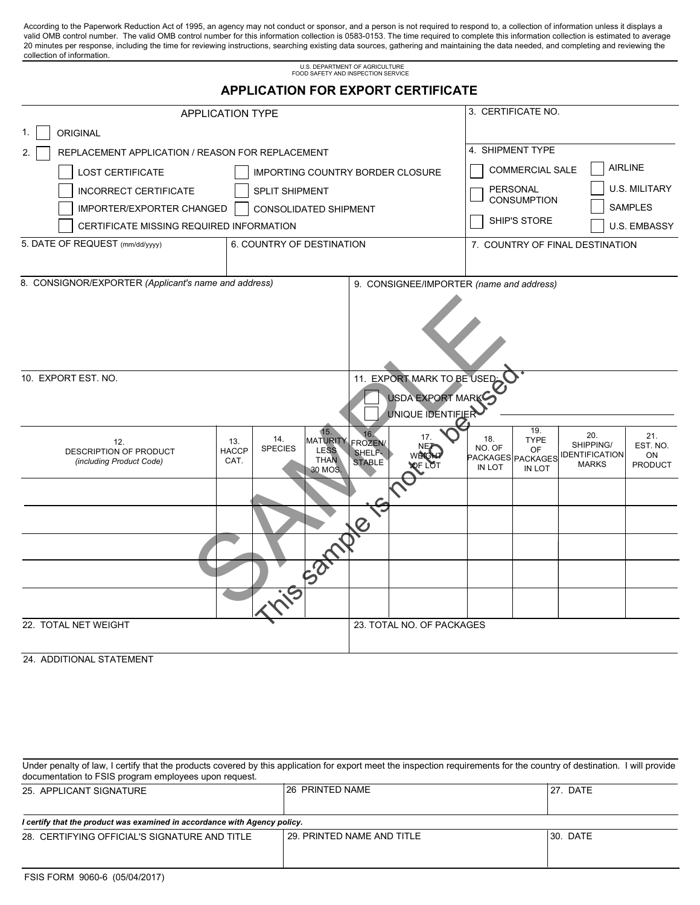According to the Paperwork Reduction Act of 1995, an agency may not conduct or sponsor, and a person is not required to respond to, a collection of information unless it displays a valid OMB control number. The valid OMB control number for this information collection is 0583-0153. The time required to complete this information collection is estimated to average 20 minutes per response, including the time for reviewing instructions, searching existing data sources, gathering and maintaining the data needed, and completing and reviewing the collection of information.

U.S. DEPARTMENT OF AGRICULTURE

|                                                        |                                                                                           | FOOD SAFETY AND INSPECTION SERVICE                                     |                                                                               |                                           |
|--------------------------------------------------------|-------------------------------------------------------------------------------------------|------------------------------------------------------------------------|-------------------------------------------------------------------------------|-------------------------------------------|
|                                                        |                                                                                           | <b>APPLICATION FOR EXPORT CERTIFICATE</b>                              |                                                                               |                                           |
| <b>APPLICATION TYPE</b>                                |                                                                                           | 3. CERTIFICATE NO.                                                     |                                                                               |                                           |
| ORIGINAL<br>1.                                         |                                                                                           |                                                                        |                                                                               |                                           |
| REPLACEMENT APPLICATION / REASON FOR REPLACEMENT<br>2. |                                                                                           |                                                                        | 4. SHIPMENT TYPE                                                              |                                           |
| <b>LOST CERTIFICATE</b>                                |                                                                                           | IMPORTING COUNTRY BORDER CLOSURE                                       | COMMERCIAL SALE                                                               | <b>AIRLINE</b>                            |
| <b>INCORRECT CERTIFICATE</b>                           | <b>SPLIT SHIPMENT</b>                                                                     |                                                                        | PERSONAL                                                                      | <b>U.S. MILITARY</b>                      |
| IMPORTER/EXPORTER CHANGED                              | <b>CONSOLIDATED SHIPMENT</b>                                                              |                                                                        | <b>CONSUMPTION</b>                                                            | <b>SAMPLES</b>                            |
| CERTIFICATE MISSING REQUIRED INFORMATION               |                                                                                           |                                                                        | SHIP'S STORE                                                                  | <b>U.S. EMBASSY</b>                       |
| 5. DATE OF REQUEST (mm/dd/yyyy)                        | 6. COUNTRY OF DESTINATION                                                                 |                                                                        | 7. COUNTRY OF FINAL DESTINATION                                               |                                           |
|                                                        |                                                                                           |                                                                        |                                                                               |                                           |
| 8. CONSIGNOR/EXPORTER (Applicant's name and address)   |                                                                                           | 9. CONSIGNEE/IMPORTER (name and address)                               |                                                                               |                                           |
|                                                        |                                                                                           |                                                                        |                                                                               |                                           |
| 10. EXPORT EST. NO.                                    |                                                                                           | 11. EXPORT MARK TO BE USED:<br>USDA EXPORT MARK<br>UNIQUE IDENTIFIER   |                                                                               |                                           |
| 12.<br>DESCRIPTION OF PRODUCT                          | $\overline{15}$ .<br>14.<br>13.<br><b>SPECIES</b><br><b>LESS</b><br><b>HACCP</b><br>T110h | 16.<br>17.<br>MATURITY FROZEN/<br>ŅE,<br>SHELF-<br>WÊKC <sup>I</sup> N | 19.<br>18.<br><b>TYPE</b><br>NO. OF<br>OF<br>PACKAGES PACKAGES IDENTIFICATION | 20.<br>21.<br>SHIPPING/<br>EST. NO.<br>ON |

| 10. EXPORT EST. NO.                                       |                             |                       |                                                                 |                                | 11. EXPORT MARK TO BE USED.<br>USDA EXPORT MARK<br>UNIQUE IDENTIFIER |                                                     |                                    |                                                           |                                  |
|-----------------------------------------------------------|-----------------------------|-----------------------|-----------------------------------------------------------------|--------------------------------|----------------------------------------------------------------------|-----------------------------------------------------|------------------------------------|-----------------------------------------------------------|----------------------------------|
| 12.<br>DESCRIPTION OF PRODUCT<br>(including Product Code) | 13.<br><b>HACCP</b><br>CAT. | 14.<br><b>SPECIES</b> | 15.<br>MATURITY FROZEN<br><b>LESS</b><br><b>THAN</b><br>30 MOS. | 16.<br>SHELF-<br><b>STABLE</b> | 17.                                                                  | 18.<br>NO. OF<br>PACKAGES PACKAGES<br><b>IN LOT</b> | 19.<br><b>TYPE</b><br>OF<br>IN LOT | 20.<br>SHIPPING/<br><b>IDENTIFICATION</b><br><b>MARKS</b> | 21.<br>EST. NO.<br>ON<br>PRODUCT |
|                                                           |                             |                       |                                                                 |                                |                                                                      |                                                     |                                    |                                                           |                                  |
|                                                           |                             |                       |                                                                 |                                |                                                                      |                                                     |                                    |                                                           |                                  |
|                                                           |                             |                       |                                                                 |                                |                                                                      |                                                     |                                    |                                                           |                                  |
|                                                           |                             |                       |                                                                 |                                |                                                                      |                                                     |                                    |                                                           |                                  |
|                                                           |                             |                       |                                                                 |                                |                                                                      |                                                     |                                    |                                                           |                                  |
| 22. TOTAL NET WEIGHT                                      |                             |                       |                                                                 |                                | 23. TOTAL NO. OF PACKAGES                                            |                                                     |                                    |                                                           |                                  |

24. ADDITIONAL STATEMENT

| Under penalty of law, I certify that the products covered by this application for export meet the inspection requirements for the country of destination. I will provide<br>documentation to FSIS program employees upon request. |                            |           |
|-----------------------------------------------------------------------------------------------------------------------------------------------------------------------------------------------------------------------------------|----------------------------|-----------|
| 25. APPLICANT SIGNATURE                                                                                                                                                                                                           | <b>26 PRINTED NAME</b>     | l27. DATE |
| I certify that the product was examined in accordance with Agency policy.                                                                                                                                                         |                            |           |
| 28. CERTIFYING OFFICIAL'S SIGNATURE AND TITLE                                                                                                                                                                                     | 29. PRINTED NAME AND TITLE | I30. DATE |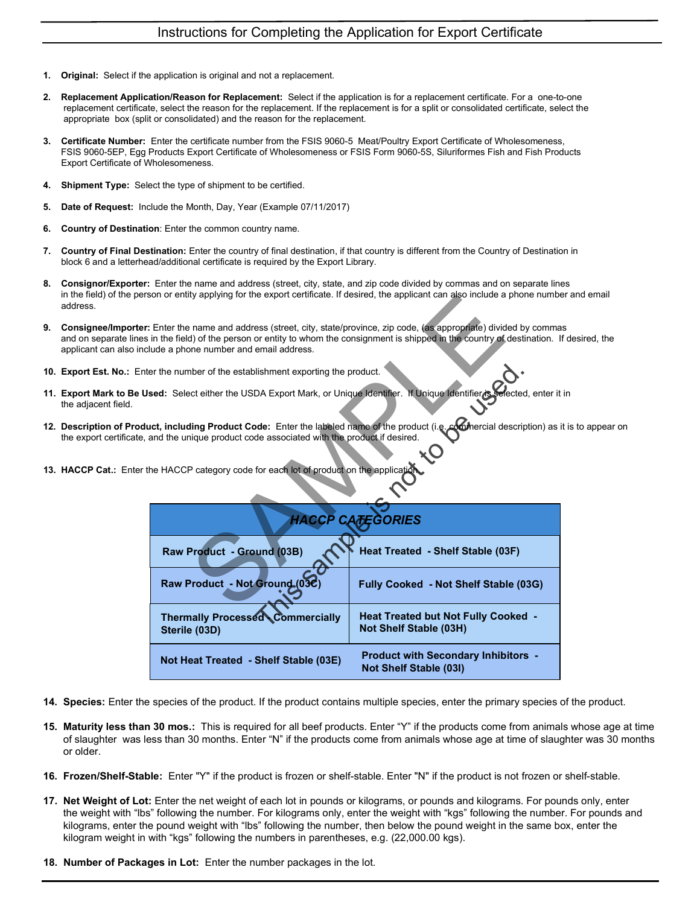- **1. Original:** Select if the application is original and not a replacement.
- 2. Replacement Application/Reason for Replacement: Select if the application is for a replacement certificate. For a one-to-one replacement certificate, select the reason for the replacement. If the replacement is for a split or consolidated certificate, select the appropriate box (split or consolidated) and the reason for the replacement.
- 3. Certificate Number: Enter the certificate number from the FSIS 9060-5 Meat/Poultry Export Certificate of Wholesomeness, FSIS 9060-5EP, Egg Products Export Certificate of Wholesomeness or FSIS Form 9060-5S, Siluriformes Fish and Fish Products Export Certificate of Wholesomeness.
- 4. Shipment Type: Select the type of shipment to be certified.
- 5. Date of Request: Include the Month, Day, Year (Example 07/11/2017)
- 6. Country of Destination: Enter the common country name.
- 7. Country of Final Destination: Enter the country of final destination, if that country is different from the Country of Destination in block 6 and a letterhead/additional certificate is required by the Export Library.
- 8. Consignor/Exporter: Enter the name and address (street, city, state, and zip code divided by commas and on separate lines in the field) of the person or entity applying for the export certificate. If desired, the applicant can also include a phone number and email address.
- 9. Consignee/Importer: Enter the name and address (street, city, state/province, zip code, (as appropriate) divided by commas and on separate lines in the field) of the person or entity to whom the consignment is shipped in the country of destination. If desired, the applicant can also include a phone number and email address.
- 10. Export Est. No.: Enter the number of the establishment exporting the product.
- 11. Export Mark to Be Used: Select either the USDA Export Mark, or Unique Identifier. If Unique Identifier is selected, enter it in the adjacent field.
- 12. Description of Product, including Product Code: Enter the labeled name of the product (i.e. commercial description) as it is to appear on the export certificate, and the unique product code associated with the product if desired.
- 13. HACCP Cat.: Enter the HACCP category code for each lot of product on the application.

|                                                                       | rson or entity applying for the export certificate. If desired, the applicant can also include a phone numbe                                                                                                             |
|-----------------------------------------------------------------------|--------------------------------------------------------------------------------------------------------------------------------------------------------------------------------------------------------------------------|
| clude a phone number and email address.                               | r: Enter the name and address (street, city, state/province, zip code, (as appropriate) divided by comma<br>s in the field) of the person or entity to whom the consignment is shipped in the country of destination. If |
| ter the number of the establishment exporting the product.            |                                                                                                                                                                                                                          |
|                                                                       | Jsed: Select either the USDA Export Mark, or Unique Identifier. If Unique Identifier is Selected, enter it                                                                                                               |
| , and the unique product code associated with the product if desired. | luct, including Product Code: Enter the labeled name of the product (i.e. commercial description) as i                                                                                                                   |
| the HACCP category code for each lot of product on the application    |                                                                                                                                                                                                                          |
|                                                                       | <b>HACCP CATEGORIES</b>                                                                                                                                                                                                  |
| Raw Product - Ground (03B)                                            | Heat Treated - Shelf Stable (03F)                                                                                                                                                                                        |
| Raw Product - Not Ground (03C                                         | Fully Cooked - Not Shelf Stable (03G)                                                                                                                                                                                    |
| <b>Thermally Processed Commercially</b><br>Sterile (03D)              | <b>Heat Treated but Not Fully Cooked -</b><br><b>Not Shelf Stable (03H)</b>                                                                                                                                              |
| Not Heat Treated - Shelf Stable (03E)                                 | <b>Product with Secondary Inhibitors -</b><br><b>Not Shelf Stable (03I)</b>                                                                                                                                              |

- 14. Species: Enter the species of the product. If the product contains multiple species, enter the primary species of the product.
- 15. Maturity less than 30 mos.: This is required for all beef products. Enter "Y" if the products come from animals whose age at time of slaughter was less than 30 months. Enter "N" if the products come from animals whose age at time of slaughter was 30 months or older.
- 16. Frozen/Shelf-Stable: Enter "Y" if the product is frozen or shelf-stable. Enter "N" if the product is not frozen or shelf-stable.
- 17. Net Weight of Lot: Enter the net weight of each lot in pounds or kilograms, or pounds and kilograms. For pounds only, enter the weight with "lbs" following the number. For kilograms only, enter the weight with "kgs" following the number. For pounds and kilograms, enter the pound weight with "lbs" following the number, then below the pound weight in the same box, enter the kilogram weight in with "kgs" following the numbers in parentheses, e.g. (22,000.00 kgs).
- 18. Number of Packages in Lot: Enter the number packages in the lot.